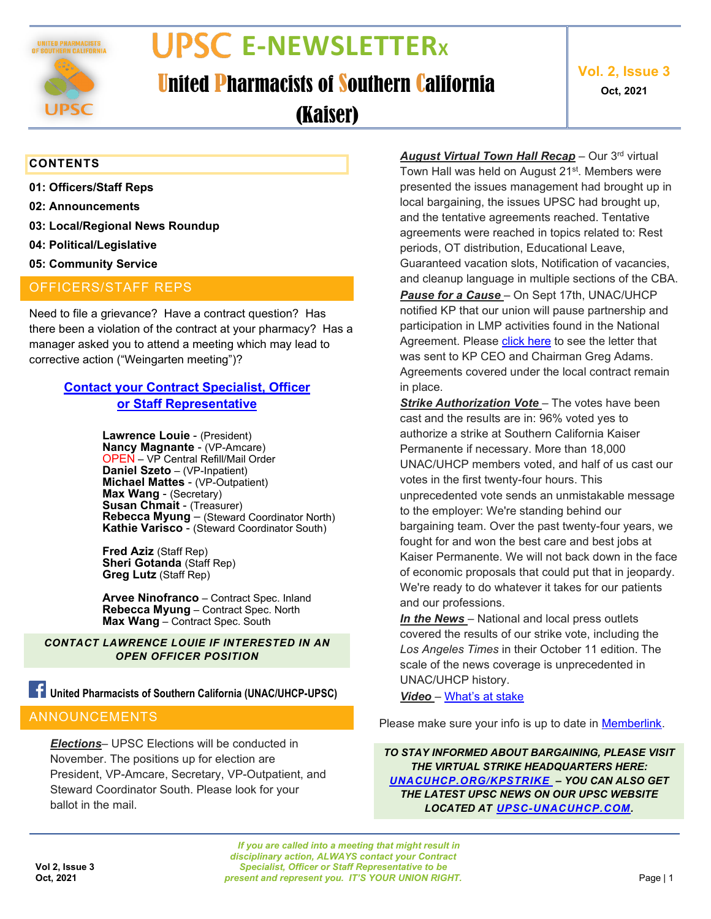

# **E-NEWSLETTERX**

United Pharmacists of Southern California

**Vol. 2, Issue 3 Oct, 2021**

(Kaiser)

#### **CONTENTS**

- **01: Officers/Staff Reps**
- **02: Announcements**
- **03: Local/Regional News Roundup**
- **04: Political/Legislative**
- **05: Community Service**

#### OFFICERS/STAFF REPS

Need to file a grievance? Have a contract question? Has there been a violation of the contract at your pharmacy? Has a manager asked you to attend a meeting which may lead to corrective action ("Weingarten meeting")?

#### **Contact your [Contract Specialist, Officer](https://upsc-unacuhcp.com/about-2/) [or Staff Representative](https://upsc-unacuhcp.com/about-2/)**

**Lawrence Louie** - (President) **Nancy Magnante** - (VP-Amcare) OPEN – VP Central Refill/Mail Order **Daniel Szeto** – (VP-Inpatient) **Michael Mattes** - (VP-Outpatient) **Max Wang** - (Secretary) **Susan Chmait** - (Treasurer) **Rebecca Myung** – (Steward Coordinator North) **Kathie Varisco** - (Steward Coordinator South)

**Fred Aziz** (Staff Rep) **Sheri Gotanda** (Staff Rep) **Greg Lutz** (Staff Rep)

**Arvee Ninofranco** – Contract Spec. Inland **Rebecca Myung** – Contract Spec. North **Max Wang** – Contract Spec. South

*CONTACT LAWRENCE LOUIE IF INTERESTED IN AN OPEN OFFICER POSITION*

### **United Pharmacists of Southern California (UNAC/UHCP-UPSC)**

#### ANNOUNCEMENTS

*Elections*– UPSC Elections will be conducted in November. The positions up for election are President, VP-Amcare, Secretary, VP-Outpatient, and Steward Coordinator South. Please look for your ballot in the mail.

*August Virtual Town Hall Recap* – Our 3rd virtual Town Hall was held on August 21<sup>st</sup>. Members were presented the issues management had brought up in local bargaining, the issues UPSC had brought up, and the tentative agreements reached. Tentative agreements were reached in topics related to: Rest periods, OT distribution, Educational Leave, Guaranteed vacation slots, Notification of vacancies, and cleanup language in multiple sections of the CBA. *Pause for a Cause* – On Sept 17th, UNAC/UHCP notified KP that our union will pause partnership and participation in LMP activities found in the National Agreement. Please [click here](https://unacuhcp.org/wp-content/uploads/Letter-to-Greg-Adams.pdf) to see the letter that was sent to KP CEO and Chairman Greg Adams. Agreements covered under the local contract remain in place.

*Strike Authorization Vote* – The votes have been cast and the results are in: 96% voted yes to authorize a strike at Southern California Kaiser Permanente if necessary. More than 18,000 UNAC/UHCP members voted, and half of us cast our votes in the first twenty-four hours. This unprecedented vote sends an unmistakable message to the employer: We're standing behind our bargaining team. Over the past twenty-four years, we fought for and won the best care and best jobs at Kaiser Permanente. We will not back down in the face of economic proposals that could put that in jeopardy. We're ready to do whatever it takes for our patients and our professions.

*In the News* – National and local press outlets covered the results of our strike vote, including the *Los Angeles Times* in their October 11 edition. The scale of the news coverage is unprecedented in UNAC/UHCP history.

*Video* – [What's at stake](https://youtu.be/BRWrfdjx8Fk)

Please make sure your info is up to date in [Memberlink.](https://memberlink.unacuhcp.org/)

*TO STAY INFORMED ABOUT BARGAINING, PLEASE VISIT THE VIRTUAL STRIKE HEADQUARTERS HERE: [UNACUHCP.ORG/KPSTRIKE](https://www.investinpatientcare.com/strike) – YOU CAN ALSO GET THE LATEST UPSC NEWS ON OUR UPSC WEBSITE LOCATED AT [UPSC-UNACUHCP.COM.](https://upsc-unacuhcp.com/about-2/)*